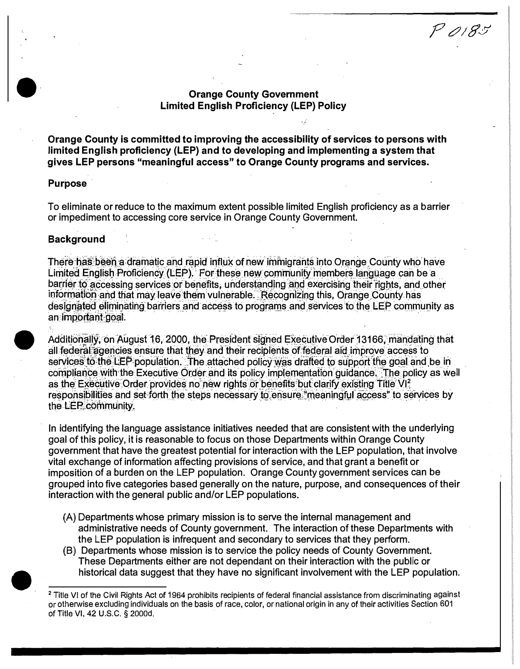## **Orange County Government Limited English Proficiency (LEP) Policy**

 $P$ 0185

Orange County is committed to improving the accessibility of services to persons with limited English proficiency (LEP) and to developing and implementing a system that gives LEP persons "meaningful access" to Orange County programs and services.

### **Purpose**

To eliminate or reduce to the maximum extent possible limited English proficiency as a barrier or impediment to accessing core service in Orange County Government.

### **Background**

There has been a dramatic and rapid influx of new immigrants into Orange County who have Limited English Proficiency (LEP). For these new community members language can be a barrier to accessing services or benefits, understanding and exercising their rights, and other Information and that may leave them vulnerable. Recognizing this, Orange County has designated eliminating barriers and access to programs and services to the LEP community as an important goal.

Additionally, on August 16, 2000, the President signed Executive Order 13166, mandating that all federal agencies ensure that they and their recipients of federal aid improve access to services to the LEP population. The attached policy was drafted to support the goal and be in compliance with the Executive Order and its policy implementation quidance. The policy as well as the Executive Order provides no new rights or benefits but clarify existing Title VI? responsibilities and set forth the steps necessary to ensure "meaningful access" to services by the LEP community.

In identifying the language assistance initiatives needed that are consistent with the underlying goal of this policy, it is reasonable to focus on those Departments within Orange County government that have the greatest potential for interaction with the LEP population, that involve vital exchange of information affecting provisions of service, and that grant a benefit or imposition of a burden on the LEP population. Orange County government services can be grouped into five categories based generally on the nature, purpose, and consequences of their interaction with the general public and/or LEP populations.

- (A) Departments whose primary mission is to serve the internal management and administrative needs of County government. The interaction of these Departments with the LEP population is infrequent and secondary to services that they perform.
- (B) Departments whose mission is to service the policy needs of County Government. These Departments either are not dependant on their interaction with the public or historical data suggest that they have no significant involvement with the LEP population.

<sup>&</sup>lt;sup>2</sup> Title VI of the Civil Rights Act of 1964 prohibits recipients of federal financial assistance from discriminating against or otherwise excluding individuals on the basis of race, color, or national origin in any of their activities Section 601 of Title VI, 42 U.S.C. § 2000d.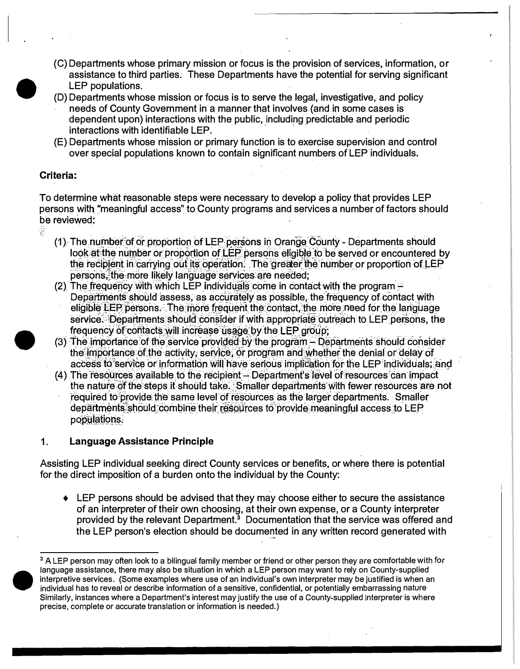- (C) Departments whose primary mission or focus is the provision of services, information, or assistance to third parties. These Departments have the potential for serving significant LEP populations.
- (D) Departments whose mission or focus is to serve the legal, investigative, and policy needs of County Government in a manner that involves (and in some cases is dependent upon) interactions with the public, including predictable and periodic interactions with identifiable LEP.
- (E) Departments whose mission or primary function is to exercise supervision and control over special populations known to contain significant numbers of LEP individuals.

# Criteria:

 $\frac{1}{2}$ 

To determine what reasonable steps were necessary to develop a policy that provides LEP persons with "meaningful access" to County programs and services a number of factors should be reviewed:

- (1) The number of or proportion of LEP persons in Orange County Departments should look at the number or proportion of LEP persons eligible to be served or encountered by the recipient in carrying out its operation. The greater the number or proportion of LEP persons, the more likely language services are needed;
- (2) The frequency with which LEP individuals come in contact with the program -Departments should assess, as accurately as possible, the frequency of contact with eligible LEP persons. The more frequent the contact, the more need for the language service. Departments should consider if with appropriate outreach to LEP persons, the frequency of contacts will increase usage by the LEP group;
- (3) The importance of the service provided by the program Departments should consider the importance of the activity, service, or program and whether the denial or delay of access to service or information will have serious implication for the LEP individuals; and
- (4) The resources available to the recipient Department's level of resources can impact the nature of the steps it should take. Smaller departments with fewer resources are not required to provide the same level of resources as the larger departments. Smaller departments should combine their resources to provide meaningful access to LEP populations.

#### Language Assistance Principle  $1<sub>1</sub>$

Assisting LEP individual seeking direct County services or benefits, or where there is potential for the direct imposition of a burden onto the individual by the County:

• LEP persons should be advised that they may choose either to secure the assistance of an interpreter of their own choosing, at their own expense, or a County interpreter provided by the relevant Department.<sup>3</sup> Documentation that the service was offered and the LEP person's election should be documented in any written record generated with



<sup>&</sup>lt;sup>3</sup> A LEP person may often look to a bilingual family member or friend or other person they are comfortable with for language assistance, there may also be situation in which a LEP person may want to rely on County-supplied interpretive services. (Some examples where use of an individual's own interpreter may be justified is when an individual has to reveal or describe information of a sensitive, confidential, or potentially embarrassing nature Similarly, instances where a Department's interest may justify the use of a County-supplied interpreter is where precise, complete or accurate translation or information is needed.)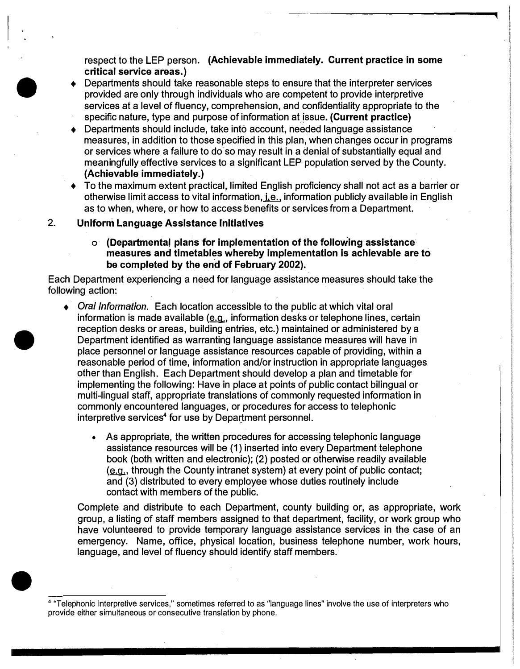respect to the LEP person. **(Achievable immediately. Current practice in some critical service areas.)** 

- Departments should take reasonable steps to ensure that the interpreter services provided are only through individuals who are competent to provide interpretive services at a level of fluency, comprehension, and confidentiality appropriate to the specific nature, type and purpose of information at\_!ssue. **(Current practice)**
- ♦ Departments should include, take into account, needed language assistance measures, in addition to those specified in this plan, when changes occur in programs or services where a failure to do·so may result in a denial of substantially equal and meaningfully effective services to a significant LEP population served by the County. **(Achievable immediately.)**
- ♦ To the maximum extent practical, limited English proficiency shall not act as a barrier or otherwise limit access to vital information, i.e., information publicly available in English as to when, where, or how to access benefits or services from a Department.

#### **2. Uniform Language Assistance Initiatives**

•<br>●

•

**o (Departmental plans for implementation of the following assistance· measures and timetables whereby implementation is achievable are to be completed by the end of February 2002).**

Each Department experiencing a need for language assistance measures should take the following action:

- ♦ *Oral Information.* Each location accessible to the public at which vital oral information is made available  $(e.q.,$  information desks or telephone lines, certain reception desks or areas, building entries, etc.) maintained or administered by a Department identified as warranting language assistance measures will have in place personnel or language assistance resources capable of providing, within a reasonable period of time, information and/or instruction in appropriate languages other than English. Each Department should develop a plan and timetable for implementing the following: Have in place at points of public contact bilingual or multi-lingual staff, appropriate translations of commonly requested information in commonly encountered languages, or procedures for access to telephonic interpretive services<sup>4</sup> for use by Department personnel.
	- As appropriate, the written procedures for accessing telephonic language assistance resources will be (1) inserted into every Department telephone book (both written and electronic); (2) posted or otherwise readily available  $(e.g.,$  through the County intranet system) at every point of public contact; and (3) distributed to every employee whose duties routinely include contact with members of the public.

Complete and distribute to each Department, county building or, as appropriate, work group, a listing of staff members assigned to that department, facility, or work group who have volunteered to provide temporary language assistance services in the case of an emergency. Name, office, physical location, business telephone number, work hours, language, and level of fluency should identify staff members.

<sup>•</sup>  **<sup>4</sup>**"Telephonic interpretive services," sometimes referred to as "language lines" *involve* the use of interpreters who provide either simultaneous or consecutive translation by phone.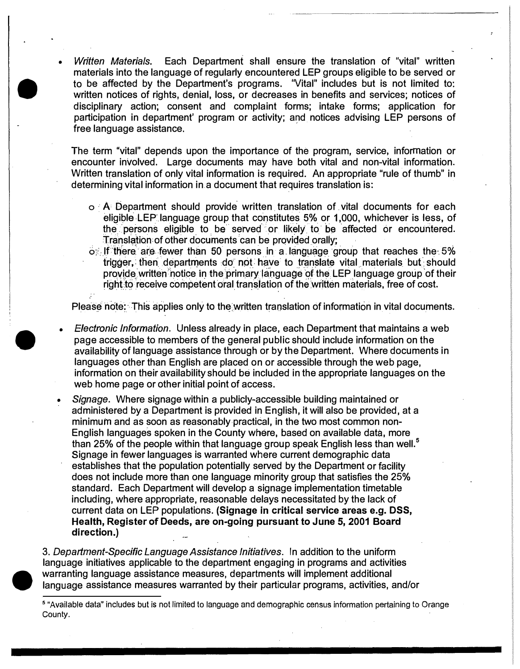• *Written Materials.* Each Department shall ensure the translation of "vital" written materials into the language of regularly encountered LEP groups eligible to be served or to be affected by the Department's programs. 'Vital" includes but is not limited to: written notices of rights, denial, loss, or decreases in benefits and services; notices of disciplinary action; consent and complaint forms; intake forms; application for participation in department' program or activity; and notices advising LEP persons of free language assistance.

•

•

The term "vital" depends upon the importance of the program, service, information or encounter involved. Large documents may have both vital and non-vital information. Written translation of only vital information is required. An appropriate "rule of thumb" in determining vital information in a document that requires translation is:

- $\circ$  A Department should provide written translation of vital documents for each eligible LEP language group that constitutes 5% or 1,000, whichever is less, of the persons eligible to be served or likely to be affected or encountered. Translation of other documents can be provided orally;
- $\circ$ . If there are fewer than 50 persons in a language group that reaches the 5% trigger, then departments do not have to translate vital materials but should provide written notice in the primary language of the LEP language group of their right to receive competent oral translation of the written materials, free of cost.

Please note: This applies only to the written translation of information in vital documents.

. For a set of the set of the set of the set of the set of the set of the set of the set of the set of the set of the set of the set of the set of the set of the set of the set of the set of the set of the set of the set

- *Electronic Information.* Unless already in place, each Department that maintains a web page accessible to members of the general public should include information on the availability of language assistance through or by the Department. Where documents in languages other than English are placed on or accessible through the web page, information on their availability should be included in the appropriate languages on the web home page or other initial point of access.
- *Signage.* Where signage within a publicly-accessible building maintained or administered by a Department is provided in English, it will also be provided, at a minimum and as soon as reasonably-practical, in the two most common non-English languages spoken in the County where, based on available data, more than 25% of the people within that language group speak English less than well. **<sup>5</sup>** Signage in fewer languages is warranted where current demographic data establishes that the population potentially served by the Department or facility does not include more than one language minority group that satisfies the 25% standard. Each Department will develop a signage implementation timetable including, where appropriate, reasonable delays necessitated by the lack of current data on LEP populations. **(Signage in critical service areas e.g. DSS, Health, Register of Deeds, are on-going pursuant to June 5, 2001 Board direction.)**

 $\begin{array}{c} \n3 \\
16 \\
\hline\n\end{array}$ 3. *Department-Specific Language Assistance Initiatives.* In addition to the uniform language initiatives applicable to the department engaging in programs and activities warranting language assistance measures, departments will implement additional language assistance measures warranted by their particular programs, activities, and/or

**<sup>5</sup>**"Available data" includes but is not limited to language and demographic census information pertaining to Orange County.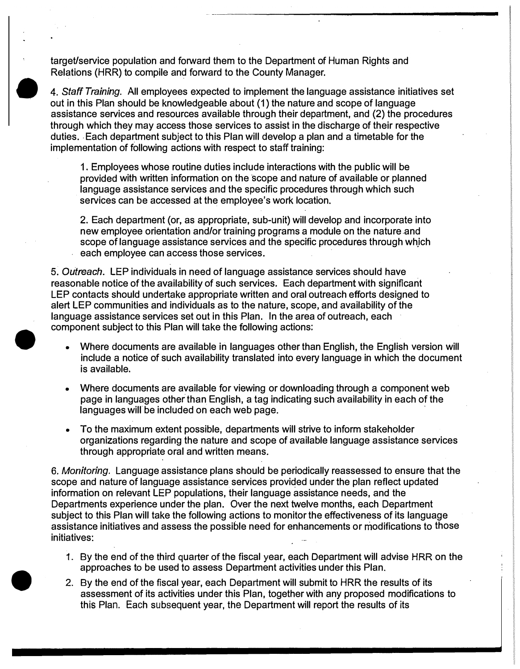target/service population and forward them to the Department of Human Rights and Relations (HRR) to compile and forward to the County Manager.

 $\begin{array}{c}\n\bullet \\
\bullet \\
\bullet \\
\bullet \\
\bullet\n\end{array}$ 4. *Staff Training.* All employees expected to implement the language assistance initiatives set out in this Plan should be knowledgeable about (1) the nature and scope of language assistance services and resources available through their department, and (2) the procedures through which they may access those services to assist in the discharge of their respective duties. • Each department subject to this Plan will develop a plan and a timetable for the implementation of following actions with respect to staff training:

> 1. Employees whose routine duties include interactions with the public will be provided with written information on the scope and nature of available or planned language assistance services and the specific procedures through which such services can be accessed at the employee's work location.

2. Each department (or, as appropriate, sub-unit) will develop and incorporate into new employee orientation and/or training programs a module on the nature and scope of language assistance services and the specific procedures through which each employee can access those services.

5. *Outreach.* LEP individuals in need of language assistance services should have reasonable notice of the availability of such services. Each department with significant LEP contacts should undertake appropriate written and oral outreach efforts designed to alert LEP communities and individuals as to the nature, scope, and availability of the language assistance services set out in this Plan. In the area of outreach, each component subject to this Plan will take the following actions:

•

•

- Where documents are available in languages other than English, the English version will include a notice of such availability translated into every language in which the document is available.
- Where documents are available for viewing or downloading through a component web page in languages other than English, a tag indicating such availability in each of the languages will be included on each web page.
- To the maximum extent possible, departments will strive to inform stakeholder organizations regarding the nature and scope of available language assistance services through appropriate oral and written means.

6. *Monitoring.* Language assistance plans should be periodically reassessed to ensure that the scope and nature of language assistance services provided under the plan reflect updated information on relevant LEP populations, their language assistance needs, and the Departments experience under the plan. Over the next twelve months, each Department subject to this Plan will take the following actions to monitor the effectiveness of its language assistance initiatives and assess the possible need for enhancements or modifications to those initiatives:

- 1. By the end of the third quarter of the fiscal year, each Department will advise HRR on the approaches to be used to assess Department activities under this Plan.
- 2. By the end of the fiscal year, each Department will submit to HRR the results of its assessment of its activities under this Plan, together with any proposed modifications to this Plan. Each subsequent year, the Department will report the results of its